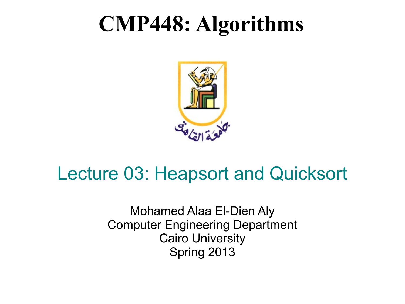#### **CMP448: Algorithms**



#### Lecture 03: Heapsort and Quicksort

Mohamed Alaa El-Dien Aly Computer Engineering Department Cairo University Spring 2013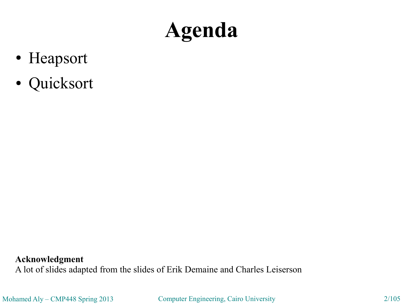## **Agenda**

- Heapsort
- Quicksort

**Acknowledgment** A lot of slides adapted from the slides of Erik Demaine and Charles Leiserson

Mohamed Aly – CMP448 Spring 2013 Computer Engineering, Cairo University 2/105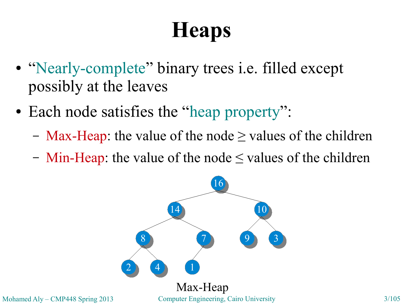## **Heaps**

- "Nearly-complete" binary trees *i.e.* filled except possibly at the leaves
- Each node satisfies the "heap property":
	- Max-Heap: the value of the node  $\geq$  values of the children
	- Min-Heap: the value of the node  $\leq$  values of the children

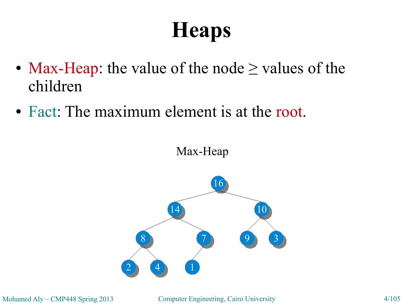## **Heaps**

- Max-Heap: the value of the node  $\geq$  values of the children
- Fact: The maximum element is at the root.

Max-Heap

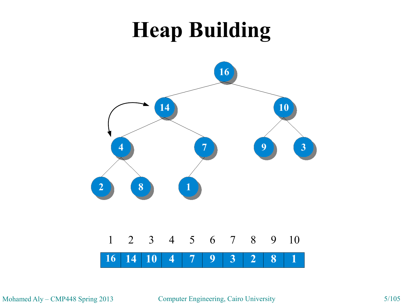

Mohamed Aly – CMP448 Spring 2013 Computer Engineering, Cairo University 5/105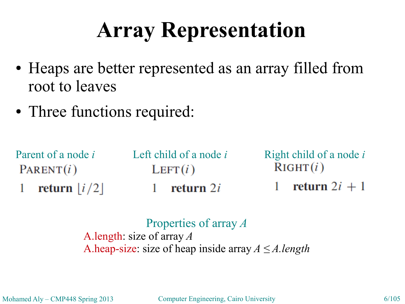- Heaps are better represented as an array filled from root to leaves
- Three functions required:

Parent of a node *i* Left child of a node *i* Right child of a node *i*  $RIGHT(i)$  $PARENT(i)$  $LEFT(i)$ 

- return  $|i/2|$ 1
- 1 return  $2i$

1 return  $2i + 1$ 

#### Properties of array *A*

A.length: size of array *A* A.heap-size: size of heap inside array *A ≤ A.length*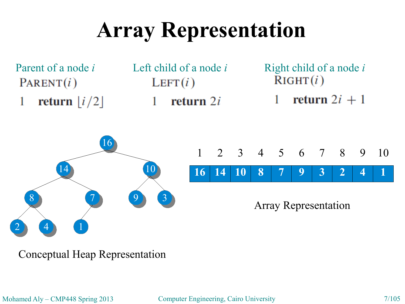

Conceptual Heap Representation

Mohamed Aly – CMP448 Spring 2013 Computer Engineering, Cairo University 7/105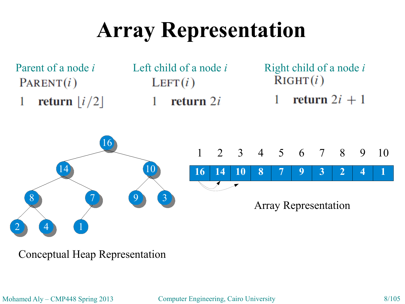

Conceptual Heap Representation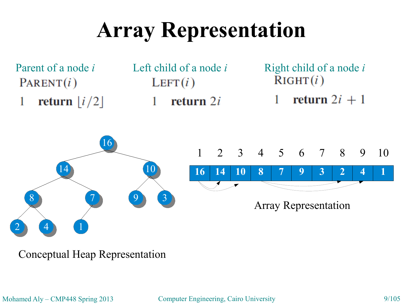

Conceptual Heap Representation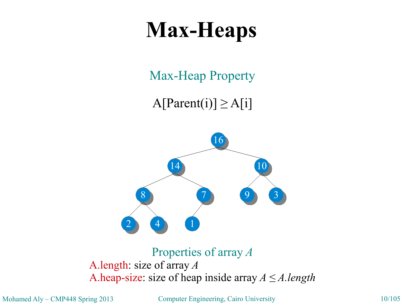#### **Max-Heaps**

Max-Heap Property

 $A[Parent(i)] \geq A[i]$ 



Properties of array *A*

A.length: size of array *A* A.heap-size: size of heap inside array *A ≤ A.length*

Mohamed Aly – CMP448 Spring 2013 Computer Engineering, Cairo University 10/105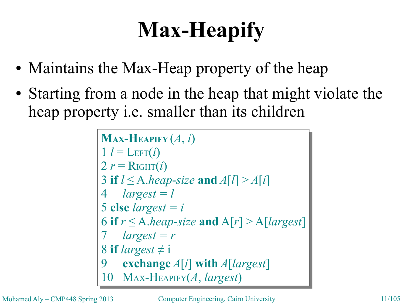- Maintains the Max-Heap property of the heap
- Starting from a node in the heap that might violate the heap property i.e. smaller than its children

```
\mathbf{M}AX-HEAPIFY (A, i)1 l = \text{LET}(i)2 r = \text{Right}(i)3 if l \leq A.heap-size and A[l] > A[i]4 largest = l
4 largest = l
5 else largest = i
5 else largest = i
6 if r \leq A.heap-size and A[r] > A[largest]7 largest = r
7 largest = r
8 if largest ≠ i
8 if largest ≠ i
9 exchange A[i] with A[largest]
9 exchange A[i] with A[largest]
10 MAX-HEAPIFY(A, largest)
10 MAX-HEAPIFY(A, largest)
```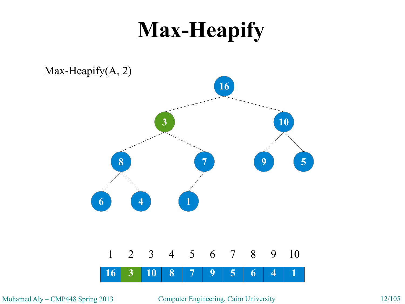

Mohamed Aly – CMP448 Spring 2013 Computer Engineering, Cairo University 12/105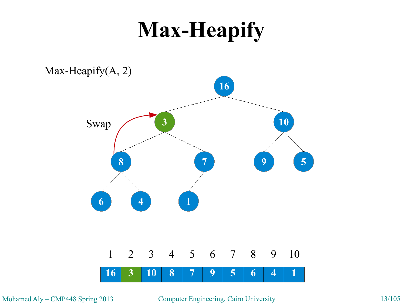

Mohamed Aly – CMP448 Spring 2013 Computer Engineering, Cairo University 13/105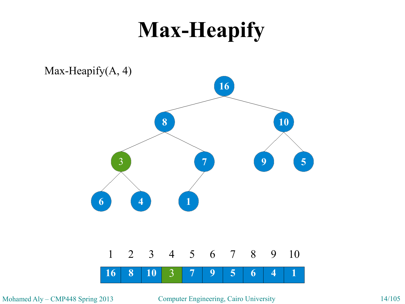

Mohamed Aly – CMP448 Spring 2013 Computer Engineering, Cairo University 14/105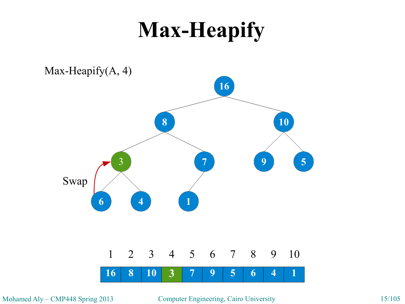

Mohamed Aly – CMP448 Spring 2013 Computer Engineering, Cairo University 15/105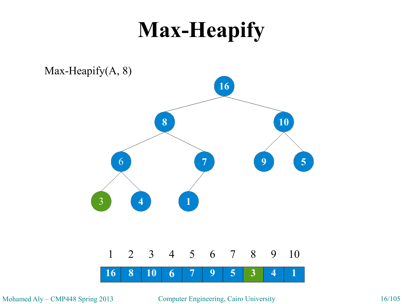

Mohamed Aly – CMP448 Spring 2013 Computer Engineering, Cairo University 16/105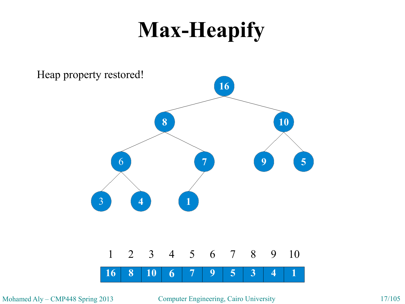

Mohamed Aly – CMP448 Spring 2013 Computer Engineering, Cairo University 17/105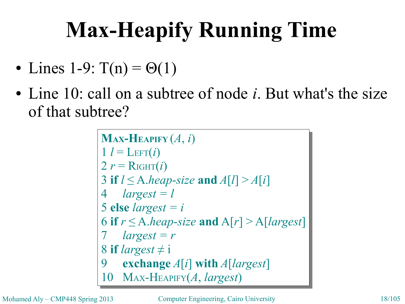- Lines 1-9:  $T(n) = \Theta(1)$
- Line 10: call on a subtree of node *i*. But what's the size of that subtree?

```
\mathbf{M}AX-HEAPIFY (A, i)1 l = \text{LET}(i)2 r = \text{Right}(i)3 if l \leq A.heap-size and A[l] > A[i]4 largest = l
4 largest = l
5 else largest = i
5 else largest = i
6 if r \le A.heap-size and A[r] > A[largest]7 largest = r
7 largest = r
8 if largest ≠ i
8 if largest ≠ i
9 exchange A[i] with A[largest]
9 exchange A[i] with A[largest]
10 MAX-HEAPIFY(A, largest)
10 MAX-HEAPIFY(A, largest)
```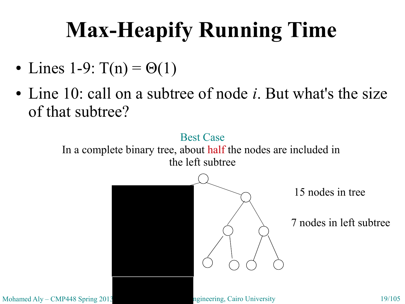- Lines 1-9:  $T(n) = \Theta(1)$
- Line 10: call on a subtree of node *i*. But what's the size of that subtree?

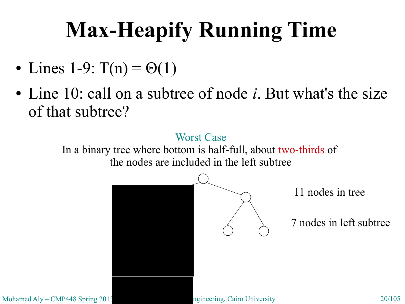- Lines 1-9:  $T(n) = \Theta(1)$
- Line 10: call on a subtree of node *i*. But what's the size of that subtree?

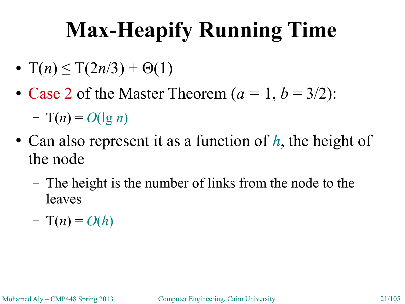- $\bullet$  T(n)  $\leq$  T(2n/3) +  $\Theta(1)$
- Case 2 of the Master Theorem  $(a = 1, b = 3/2)$ :

 $- T(n) = O(\lg n)$ 

- Can also represent it as a function of *h*, the height of the node
	- The height is the number of links from the node to the leaves

 $- T(n) = O(h)$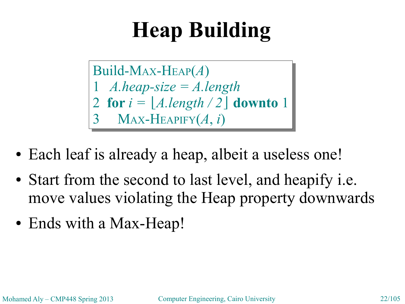Build-MAX-HEAP(*A*) Build-MAX-HEAP(*A*) 1 *A.heap-size = A.length* 1 *A.heap-size = A.length* 2 **for** *i =* ⌊*A.length / 2*⌋ **downto** 1 2 **for** *i =* ⌊*A.length / 2*⌋ **downto** 1 3 MAX-HEAPIFY(*A*, *i*) 3 MAX-HEAPIFY(*A*, *i*)

- Each leaf is already a heap, albeit a useless one!
- Start from the second to last level, and heapify i.e. move values violating the Heap property downwards
- Ends with a Max-Heap!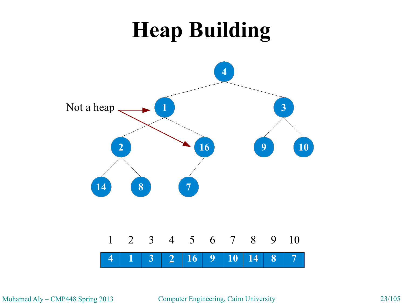

Mohamed Aly – CMP448 Spring 2013 Computer Engineering, Cairo University 23/105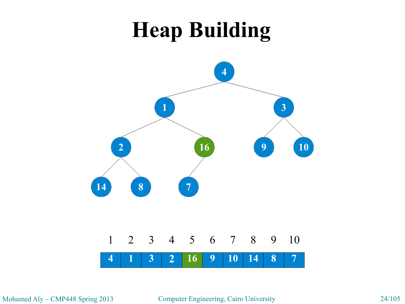

Mohamed Aly – CMP448 Spring 2013 Computer Engineering, Cairo University 24/105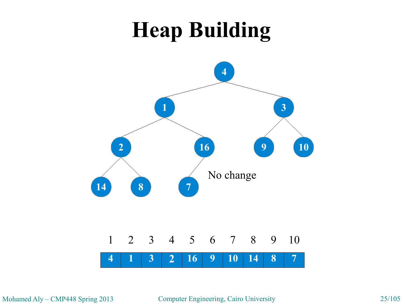

Mohamed Aly – CMP448 Spring 2013 Computer Engineering, Cairo University 25/105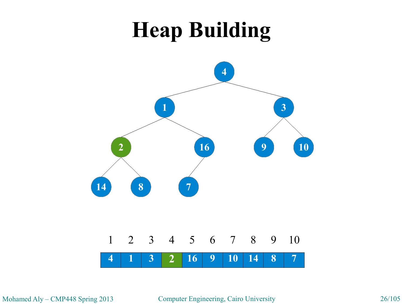

Mohamed Aly – CMP448 Spring 2013 Computer Engineering, Cairo University 26/105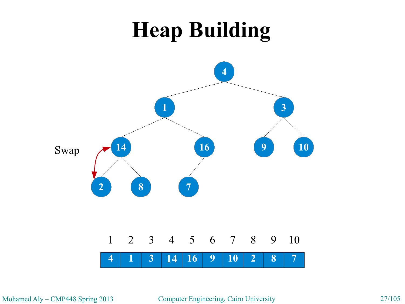

Mohamed Aly – CMP448 Spring 2013 Computer Engineering, Cairo University 27/105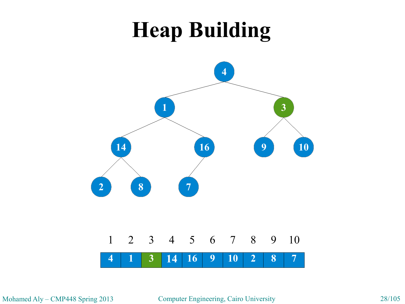

Mohamed Aly – CMP448 Spring 2013 Computer Engineering, Cairo University 28/105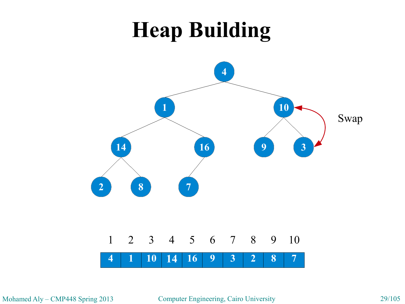

Mohamed Aly – CMP448 Spring 2013 Computer Engineering, Cairo University 29/105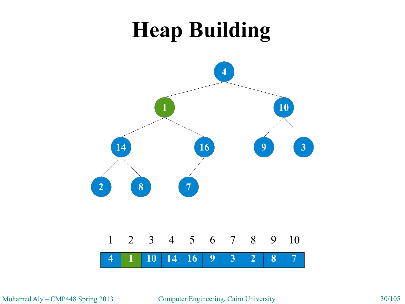

Mohamed Aly – CMP448 Spring 2013 Computer Engineering, Cairo University 30/105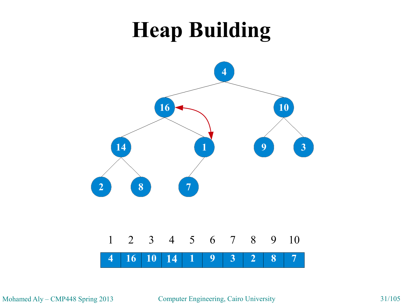

Mohamed Aly – CMP448 Spring 2013 Computer Engineering, Cairo University 31/105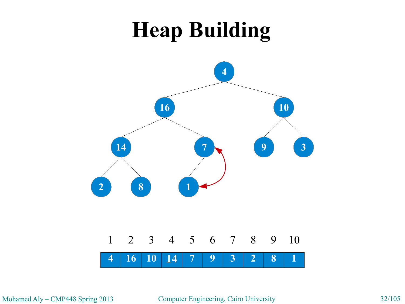

Mohamed Aly – CMP448 Spring 2013 Computer Engineering, Cairo University 32/105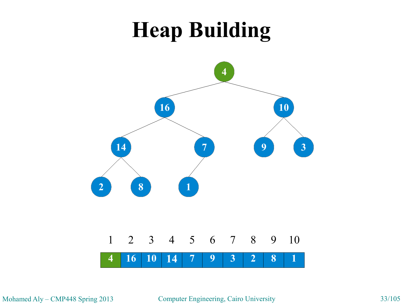

Mohamed Aly – CMP448 Spring 2013 Computer Engineering, Cairo University 33/105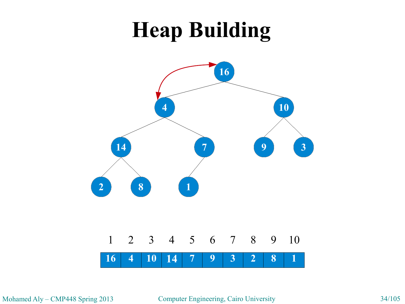

Mohamed Aly – CMP448 Spring 2013 Computer Engineering, Cairo University 34/105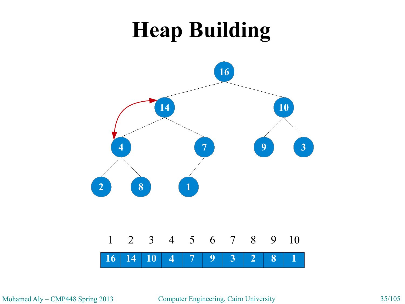

Mohamed Aly – CMP448 Spring 2013 Computer Engineering, Cairo University 35/105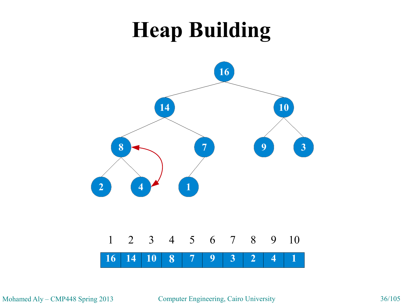

Mohamed Aly – CMP448 Spring 2013 Computer Engineering, Cairo University 36/105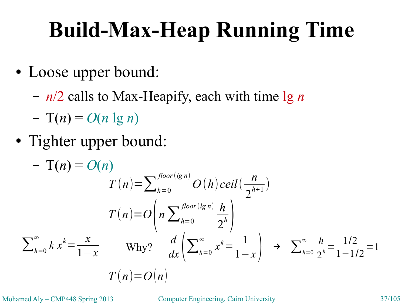# **Build-Max-Heap Running Time**

- Loose upper bound:
	- *n*/2 calls to Max-Heapify, each with time lg *n*
	- $-$  T(*n*) =  $O(n \lg n)$
- Tighter upper bound:

$$
- T(n) = O(n)
$$
  
\n
$$
T(n) = \sum_{h=0}^{floor(lgn)} O(h)ceil(\frac{n}{2^{h+1}})
$$
  
\n
$$
T(n) = O\left(n \sum_{h=0}^{floor(lgn)} \frac{h}{2^h}\right)
$$
  
\n
$$
\sum_{h=0}^{\infty} k x^k = \frac{x}{1-x}
$$
 Why?  $\frac{d}{dx} \left(\sum_{h=0}^{\infty} x^k = \frac{1}{1-x}\right) \rightarrow \sum_{h=0}^{\infty} \frac{h}{2^h} = \frac{1/2}{1-1/2} = 1$   
\n
$$
T(n) = O(n)
$$

Mohamed Aly – CMP448 Spring 2013 Computer Engineering, Cairo University 37/105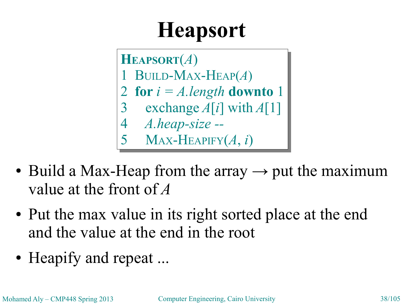**HEAPSORT**(*A*) **HEAPSORT**(*A*) 1 BUILD-MAX-HEAP(*A*) 1 BUILD-MAX-HEAP(*A*) 2 **for** *i = A.length* **downto** 1 2 **for** *i = A.length* **downto** 1 3 exchange *A*[*i*] with *A*[1] 3 exchange *A*[*i*] with *A*[1] 4 *A.heap-size --* 4 *A.heap-size --* 5 MAX-HEAPIFY(*A*, *i*) 5 MAX-HEAPIFY(*A*, *i*)

- Build a Max-Heap from the array  $\rightarrow$  put the maximum value at the front of *A*
- Put the max value in its right sorted place at the end and the value at the end in the root
- Heapify and repeat ...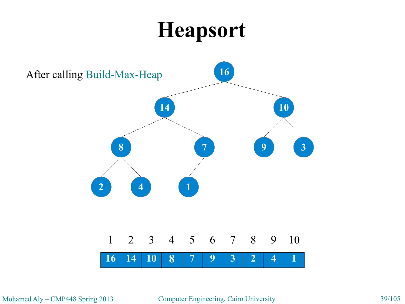

Mohamed Aly – CMP448 Spring 2013 Computer Engineering, Cairo University 39/105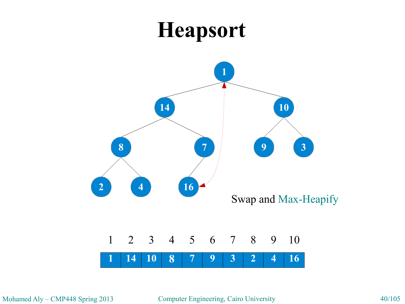

Mohamed Aly – CMP448 Spring 2013 Computer Engineering, Cairo University 40/105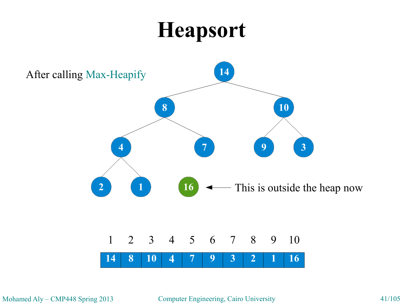

Mohamed Aly – CMP448 Spring 2013 Computer Engineering, Cairo University 41/105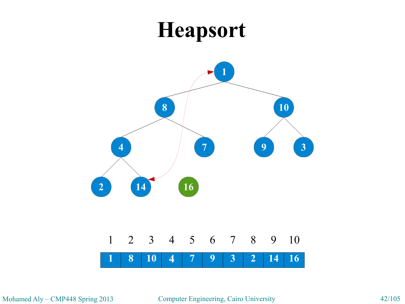

Mohamed Aly – CMP448 Spring 2013 Computer Engineering, Cairo University 42/105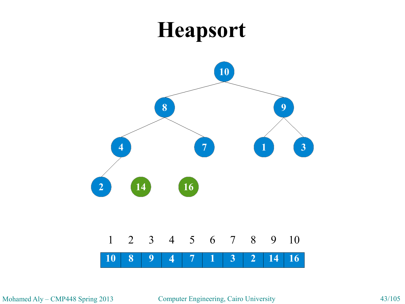

Mohamed Aly – CMP448 Spring 2013 Computer Engineering, Cairo University 43/105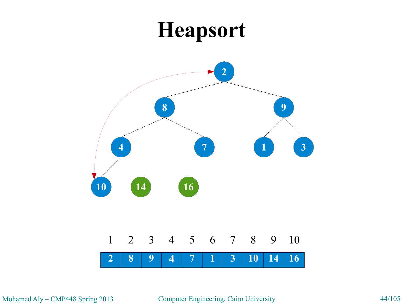

Mohamed Aly – CMP448 Spring 2013 Computer Engineering, Cairo University 44/105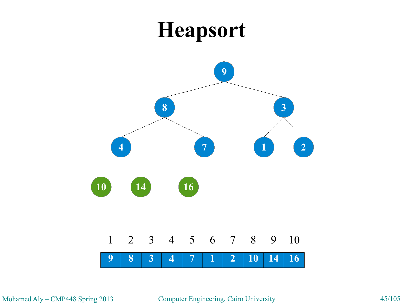

Mohamed Aly – CMP448 Spring 2013 Computer Engineering, Cairo University 45/105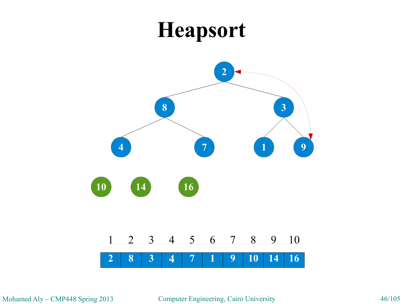

Mohamed Aly – CMP448 Spring 2013 Computer Engineering, Cairo University 46/105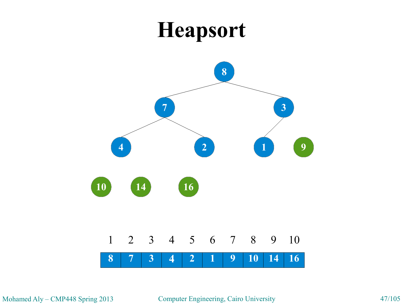

Mohamed Aly – CMP448 Spring 2013 Computer Engineering, Cairo University 47/105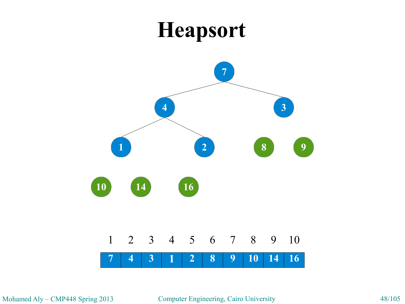

Mohamed Aly – CMP448 Spring 2013 Computer Engineering, Cairo University 48/105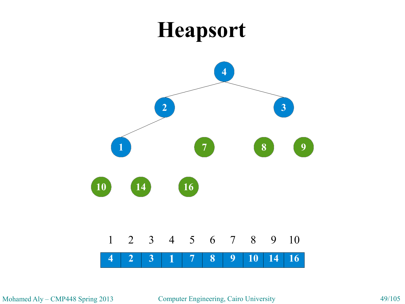

Mohamed Aly – CMP448 Spring 2013 Computer Engineering, Cairo University 49/105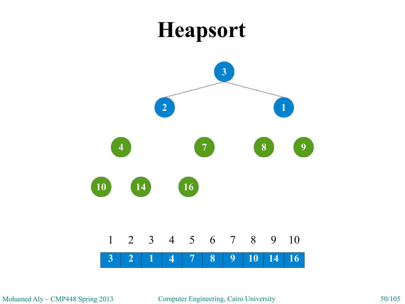

Mohamed Aly – CMP448 Spring 2013 Computer Engineering, Cairo University 50/105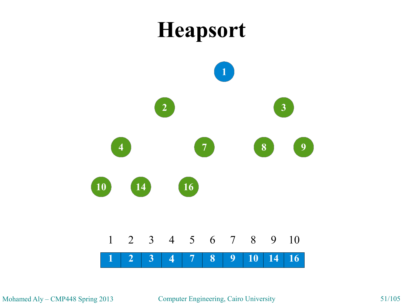

Mohamed Aly – CMP448 Spring 2013 Computer Engineering, Cairo University 51/105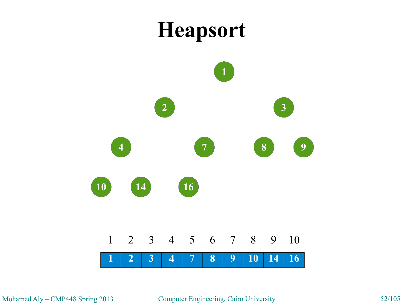

Mohamed Aly – CMP448 Spring 2013 Computer Engineering, Cairo University 52/105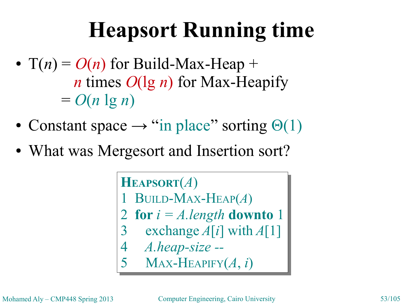# **Heapsort Running time**

- $T(n) = O(n)$  for Build-Max-Heap + *n* times *O*(lg *n*) for Max-Heapify  $= O(n \lg n)$
- Constant space  $\rightarrow$  "in place" sorting  $\Theta(1)$
- What was Mergesort and Insertion sort?

**HEAPSORT**(*A*) **HEAPSORT**(*A*) 1 BUILD-MAX-HEAP(*A*) 1 BUILD-MAX-HEAP(*A*) 2 **for** *i = A.length* **downto** 1 2 **for** *i = A.length* **downto** 1 3 exchange *A*[*i*] with *A*[1] 3 exchange *A*[*i*] with *A*[1] 4 *A.heap-size --* 4 *A.heap-size --* 5 MAX-HEAPIFY(*A*, *i*) 5 MAX-HEAPIFY(*A*, *i*)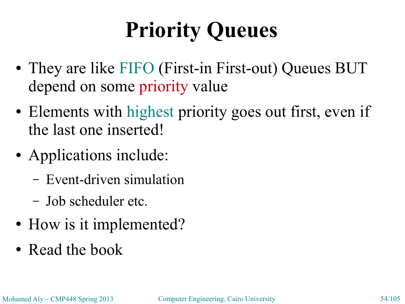# **Priority Queues**

- They are like FIFO (First-in First-out) Queues BUT depend on some priority value
- Elements with highest priority goes out first, even if the last one inserted!
- Applications include:
	- Event-driven simulation
	- Job scheduler etc.
- How is it implemented?
- Read the book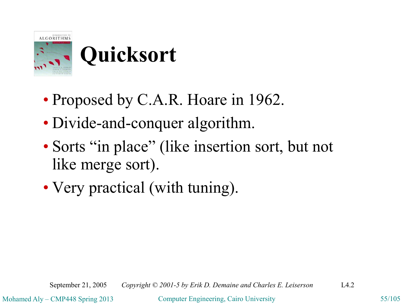

- Proposed by C.A.R. Hoare in 1962.
- Divide-and-conquer algorithm.
- Sorts "in place" (like insertion sort, but not like merge sort).
- Very practical (with tuning).

September 21, 2005 *Copyright © 2001-5 by Erik D. Demaine and Charles E. Leiserson* L4.2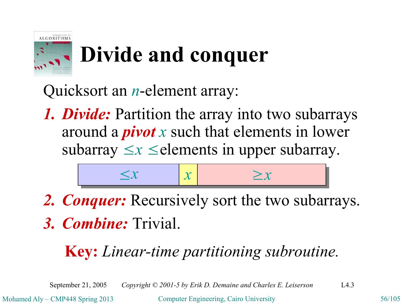

# **Divide and conquer**

Quicksort an *n*-element array:

*1. Divide:* Partition the array into two subarrays around a *pivot x* such that elements in lower subarray  $\leq x \leq$  elements in upper subarray.

$$
\leq x \qquad \qquad x \qquad \geq x
$$

- *2. Conquer:* Recursively sort the two subarrays.
- *3. Combine:* Trivial.

#### **Key:** *Linear-time partitioning subroutine.*

September 21, 2005 *Copyright © 2001-5 by Erik D. Demaine and Charles E. Leiserson* L4.3

Mohamed Aly – CMP448 Spring 2013 Computer Engineering, Cairo University 56/105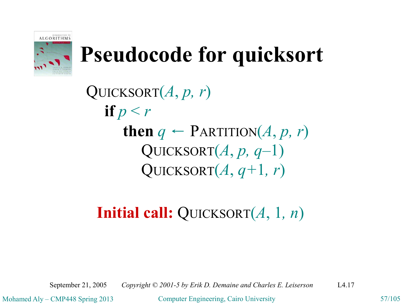

## **Pseudocode for quicksort**

QUICKSORT(*A*, *p, r*) **if**  $p < r$ **then**  $q \leftarrow$  PARTITION(*A*, *p*, *r*) QUICKSORT $(A, p, q-1)$ QUICKSORT $(A, q+1, r)$ 

#### **Initial call:** QUICKSORT(*A*, 1*, n*)

September 21, 2005 *Copyright © 2001-5 by Erik D. Demaine and Charles E. Leiserson* L4.17

Mohamed Aly – CMP448 Spring 2013 Computer Engineering, Cairo University 57/105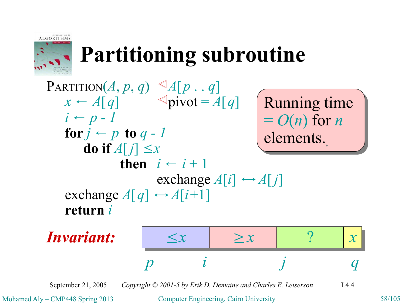

# **Partitioning subroutine**

September 21, 2005 *Copyright © 2001-5 by Erik D. Demaine and Charles E. Leiserson* L4.4 Running time Running time  $= O(n)$  for *n* elements. elements.  $\text{PARTITION}(A, p, q) \triangleq A[p \dots q]$  $x \leftarrow A[q]$   $\triangleleft pi\text{vot} = A[q]$  $i \leftarrow p - 1$ **for**  $j \leftarrow p$  **to**  $q - 1$ **do** if  $A[j] \leq x$ **then**  $i \leftarrow i+1$ exchange  $A[i] \leftrightarrow A[j]$ exchange  $A[q] \leftrightarrow A[i+1]$ **return** *i Invariant:*  $\leq x$   $\leq x$   $\geq x$  ?  $\mid x$ *p i j q*

Mohamed Aly – CMP448 Spring 2013 Computer Engineering, Cairo University 58/105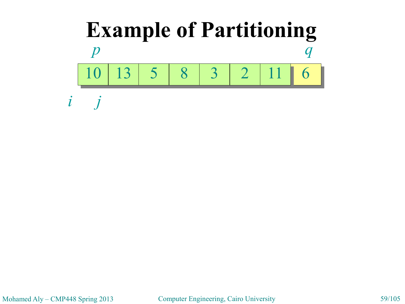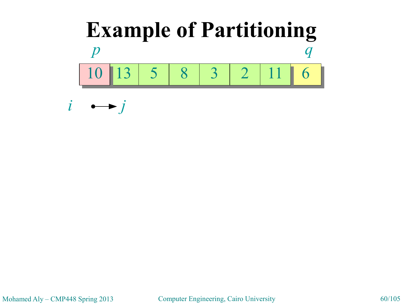

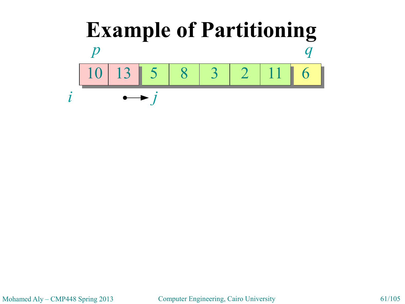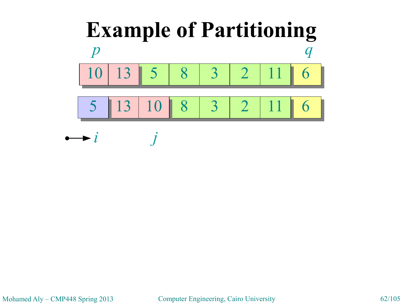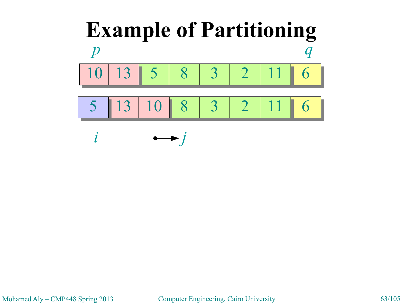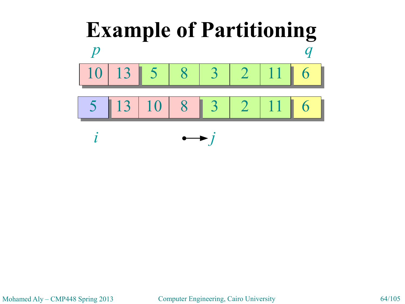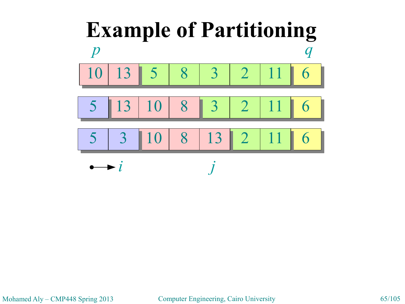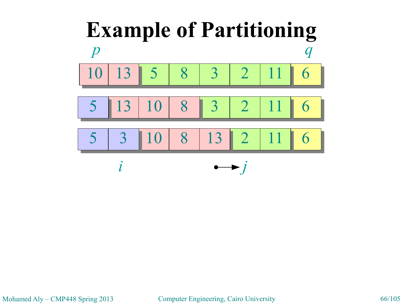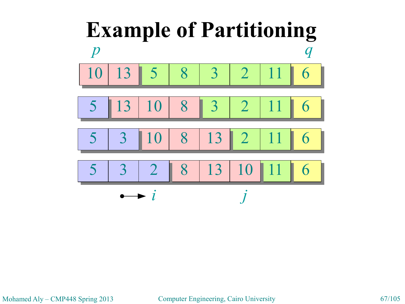

Mohamed Aly – CMP448 Spring 2013 Computer Engineering, Cairo University 67/105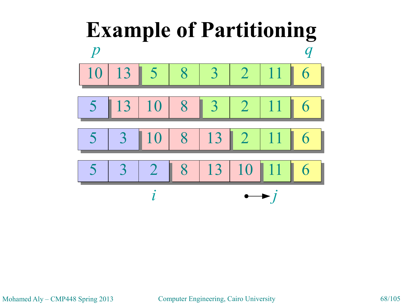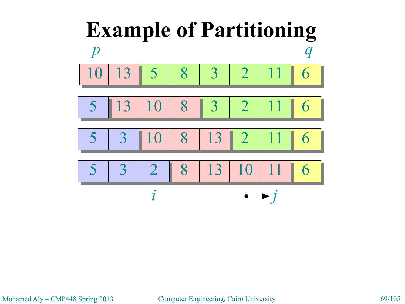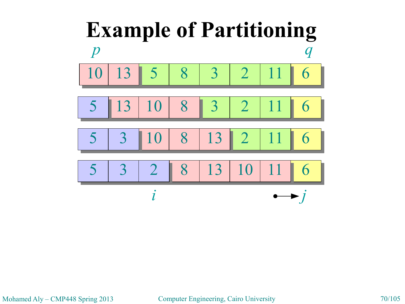

Mohamed Aly – CMP448 Spring 2013 Computer Engineering, Cairo University 70/105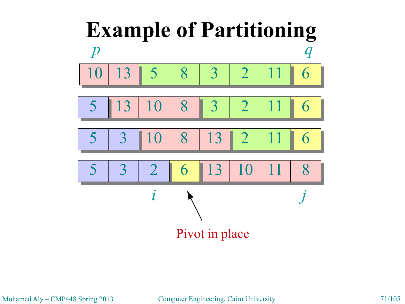

Mohamed Aly – CMP448 Spring 2013 Computer Engineering, Cairo University 71/105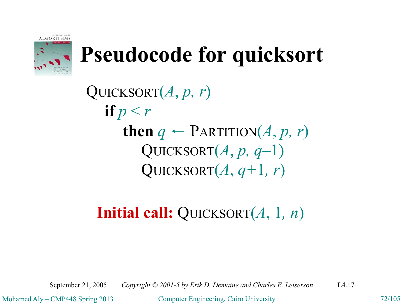

## **Pseudocode for quicksort**

QUICKSORT(*A*, *p, r*) **if**  $p < r$ **then**  $q \leftarrow$  PARTITION(*A*, *p*, *r*) QUICKSORT $(A, p, q-1)$ QUICKSORT $(A, q+1, r)$ 

#### **Initial call:** QUICKSORT(*A*, 1*, n*)

September 21, 2005 *Copyright © 2001-5 by Erik D. Demaine and Charles E. Leiserson* L4.17

Mohamed Aly – CMP448 Spring 2013 Computer Engineering, Cairo University 72/105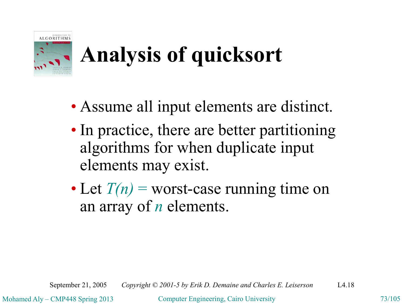

# **Analysis of quicksort**

- Assume all input elements are distinct.
- In practice, there are better partitioning algorithms for when duplicate input elements may exist.
- Let  $T(n)$  = worst-case running time on an array of *n* elements.

September 21, 2005 *Copyright © 2001-5 by Erik D. Demaine and Charles E. Leiserson* L4.18

Mohamed Aly – CMP448 Spring 2013 Computer Engineering, Cairo University 73/105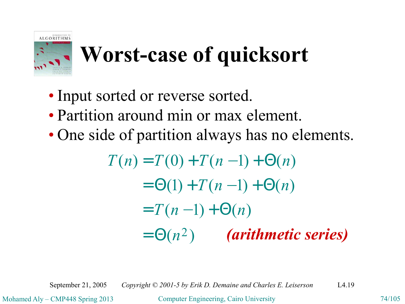

# **Worst-case of quicksort**

- Input sorted or reverse sorted.
- Partition around min or max element.
- One side of partition always has no elements.

$$
T(n) = T(0) + T(n - 1) + \Theta(n)
$$
  
=  $\Theta(1) + T(n - 1) + \Theta(n)$   
=  $T(n - 1) + \Theta(n)$   
=  $\Theta(n^2)$  (arithmetic series)

September 21, 2005 *Copyright © 2001-5 by Erik D. Demaine and Charles E. Leiserson* L4.19

Mohamed Aly – CMP448 Spring 2013 Computer Engineering, Cairo University 74/105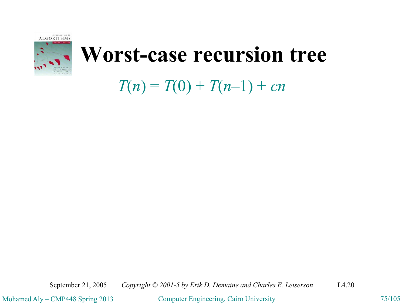

#### $T(n) = T(0) + T(n-1) + cn$

September 21, 2005 *Copyright © 2001-5 by Erik D. Demaine and Charles E. Leiserson* L4.20

Mohamed Aly – CMP448 Spring 2013 Computer Engineering, Cairo University 75/105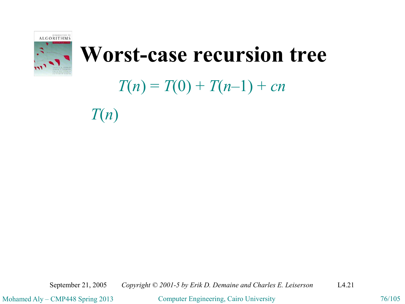

### $T(n) = T(0) + T(n-1) + cn$

*T*(*n*)

September 21, 2005 *Copyright © 2001-5 by Erik D. Demaine and Charles E. Leiserson* L4.21

Mohamed Aly – CMP448 Spring 2013 Computer Engineering, Cairo University 76/105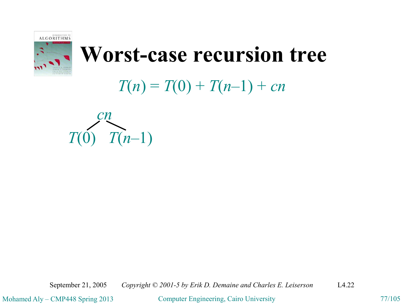

### $T(n) = T(0) + T(n-1) + cn$



September 21, 2005 *Copyright © 2001-5 by Erik D. Demaine and Charles E. Leiserson* L4.22

Mohamed Aly – CMP448 Spring 2013 Computer Engineering, Cairo University 77/105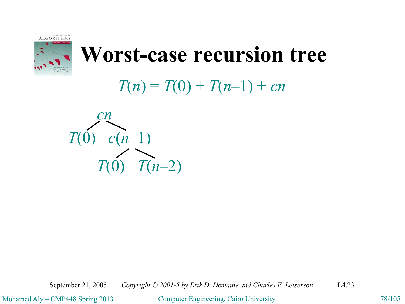

 $T(n) = T(0) + T(n-1) + cn$ 



September 21, 2005 *Copyright © 2001-5 by Erik D. Demaine and Charles E. Leiserson* L4.23

Mohamed Aly – CMP448 Spring 2013 Computer Engineering, Cairo University 78/105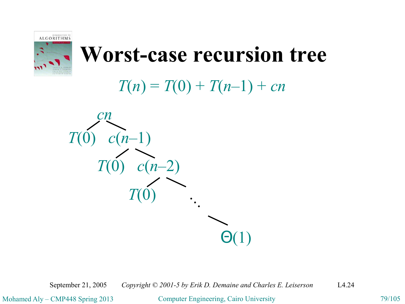

 $T(n) = T(0) + T(n-1) + cn$ 



September 21, 2005 *Copyright © 2001-5 by Erik D. Demaine and Charles E. Leiserson* L4.24

Mohamed Aly – CMP448 Spring 2013 Computer Engineering, Cairo University 79/105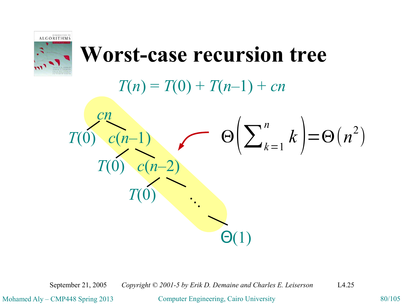

September 21, 2005 *Copyright © 2001-5 by Erik D. Demaine and Charles E. Leiserson* L4.25

Mohamed Aly – CMP448 Spring 2013 Computer Engineering, Cairo University 80/105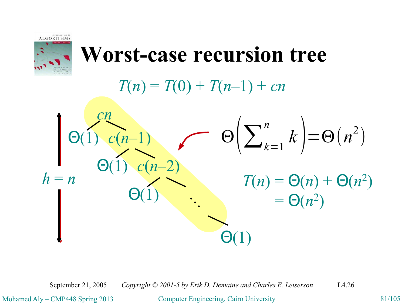

#### $T(n) = T(0) + T(n-1) + cn$



September 21, 2005 *Copyright © 2001-5 by Erik D. Demaine and Charles E. Leiserson* L4.26

Mohamed Aly – CMP448 Spring 2013 Computer Engineering, Cairo University 81/105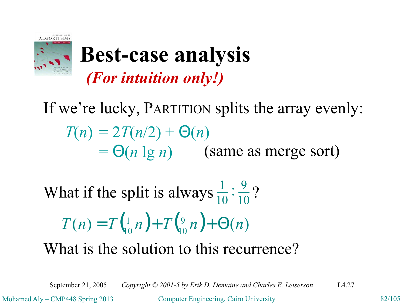

## **Best-case analysis** *(For intuition only!)*

If we're lucky, PARTITION splits the array evenly:  $T(n) = 2T(n/2) + \Theta(n)$  $= \Theta(n \lg n)$  (same as merge sort)

What if the split is always 10 9 10  $\frac{1}{10}$  :  $\frac{9}{10}$  ?  $(n) = T(\frac{1}{10}n) + T(\frac{9}{10}n) + \Theta(n)$ 9  $T(n) = T(\frac{1}{10}n) + T(\frac{9}{10}n) + \Theta(n)$ What is the solution to this recurrence?

September 21, 2005 *Copyright © 2001-5 by Erik D. Demaine and Charles E. Leiserson* L4.27

Mohamed Aly – CMP448 Spring 2013 Computer Engineering, Cairo University 82/105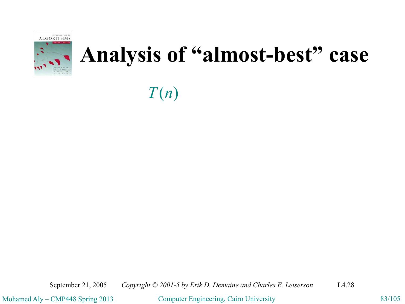

*T*(*n*)

September 21, 2005 *Copyright © 2001-5 by Erik D. Demaine and Charles E. Leiserson* L4.28

Mohamed Aly – CMP448 Spring 2013 Computer Engineering, Cairo University 83/105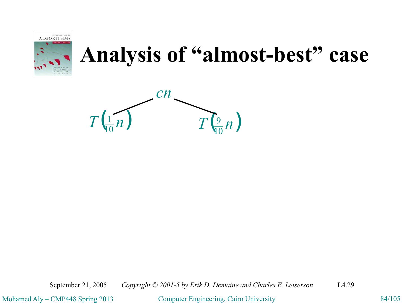



September 21, 2005 *Copyright © 2001-5 by Erik D. Demaine and Charles E. Leiserson* L4.29

Mohamed Aly – CMP448 Spring 2013 Computer Engineering, Cairo University 84/105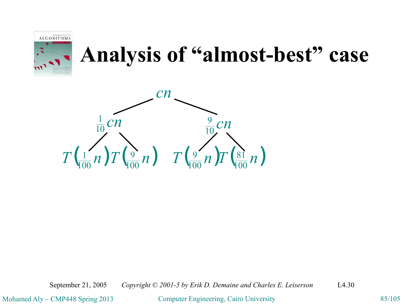



September 21, 2005 *Copyright © 2001-5 by Erik D. Demaine and Charles E. Leiserson* L4.30

Mohamed Aly – CMP448 Spring 2013 Computer Engineering, Cairo University 85/105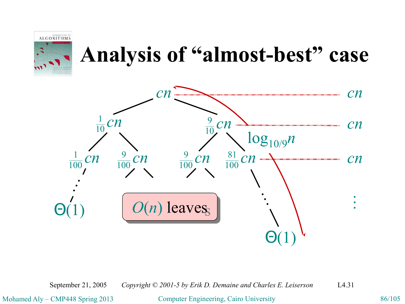



September 21, 2005 *Copyright © 2001-5 by Erik D. Demaine and Charles E. Leiserson* L4.31

Mohamed Aly – CMP448 Spring 2013 Computer Engineering, Cairo University 86/105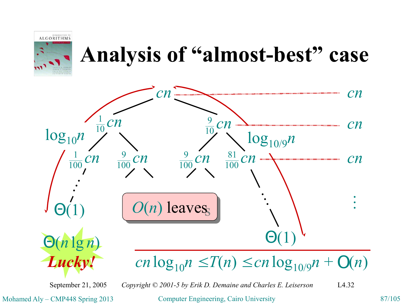



September 21, 2005 *Copyright © 2001-5 by Erik D. Demaine and Charles E. Leiserson* L4.32

Mohamed Aly – CMP448 Spring 2013 Computer Engineering, Cairo University 87/105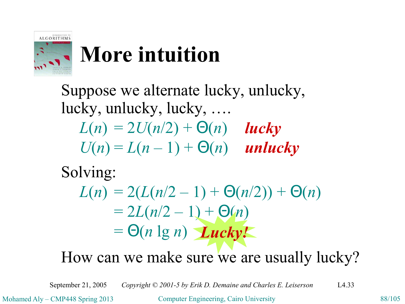

# **More intuition**

Suppose we alternate lucky, unlucky, lucky, unlucky, lucky, ….  $L(n) = 2U(n/2) + \Theta(n)$  *lucky*  $U(n) = L(n-1) + \Theta(n)$  *unlucky* 

### Solving:

 $L(n) = 2(L(n/2 - 1) + \Theta(n/2)) + \Theta(n)$  $= 2L(n/2 - 1) + \Theta(n)$  $= \Theta(n \lg n)$  *Lucky!* 

#### How can we make sure we are usually lucky?

September 21, 2005 *Copyright © 2001-5 by Erik D. Demaine and Charles E. Leiserson* L4.33

Mohamed Aly – CMP448 Spring 2013 Computer Engineering, Cairo University 88/105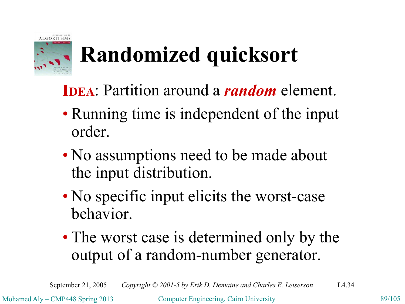

# **Randomized quicksort**

**IDEA**: Partition around a *random* element.

- Running time is independent of the input order.
- No assumptions need to be made about the input distribution.
- No specific input elicits the worst-case behavior.
- The worst case is determined only by the output of a random-number generator.

September 21, 2005 *Copyright © 2001-5 by Erik D. Demaine and Charles E. Leiserson* L4.34

Mohamed Aly – CMP448 Spring 2013 Computer Engineering, Cairo University 89/105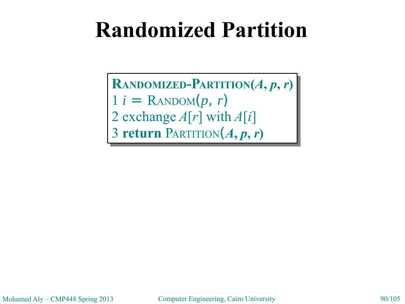## **Randomized Partition**

 $\bf{R}$ **ANDOMIZED-PARTITION** $(A, p, r)$  $1 i =$ **RANDOM(***p*, *r*) 2 exchange *A*[*r*] with *A*[*i*] 2 exchange *A*[*r*] with *A*[*i*] 3 **return** PARTITION(*A***,** *p***,** *r***)** 3 **return** PARTITION(*A***,** *p***,** *r***)**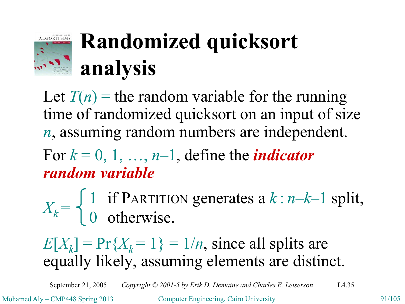

# **Randomized quicksort analysis**

Let  $T(n)$  = the random variable for the running time of randomized quicksort on an input of size *n*, assuming random numbers are independent.

For  $k = 0, 1, ..., n-1$ , define the *indicator random variable*

 $X_k =$ 1 if PARTITION generates a *k* : *n*–*k*–1 split, 0 otherwise.

 $E[X_k] = Pr\{X_k = 1\} = 1/n$ , since all splits are equally likely, assuming elements are distinct.

September 21, 2005 *Copyright © 2001-5 by Erik D. Demaine and Charles E. Leiserson* L4.35

Mohamed Aly – CMP448 Spring 2013 Computer Engineering, Cairo University 91/105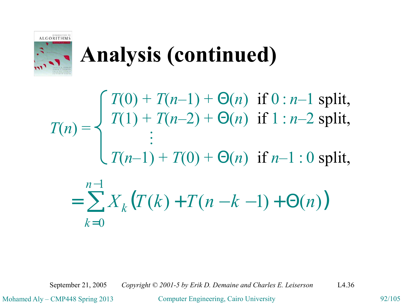

# **Analysis (continued)**

 $T(0) + T(n-1) + \Theta(n)$  if  $0 : n-1$  split,  $T(1) + T(n-2) + \Theta(n)$  if  $1 : n-2$  split,  $\ddot{\cdot}$  $T(n-1) + T(0) + \Theta(n)$  if  $n-1$  : 0 split,  $T(n) =$  $\sum X_k (T(k) + T(n - k - 1) + \Theta(n))$  $\overline{\phantom{a}}$  $k = 0$  $= \sum X_k (T(k) + T(n-k-1) + \Theta)$ 1  $(k) + T(n - k - 1) + \Theta(n)$ *n*  $X_k(T(k) + T(n - k - 1) + \Theta(n))$ 

September 21, 2005 *Copyright © 2001-5 by Erik D. Demaine and Charles E. Leiserson* L4.36

Mohamed Aly – CMP448 Spring 2013 Computer Engineering, Cairo University 92/105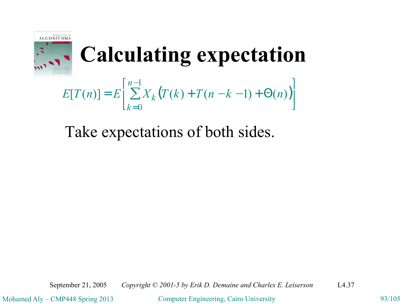

 $(T(k) + T(n - k - 1) + \Theta(n))]$  $\rfloor$ ⎤ ⎢  $\lfloor$ ⎡  $= E \left[ \sum X_k (T(k) + T(n - k - 1) + \Theta \right]$  $\overline{\phantom{a}}$ = 1 0  $[T(n)] = E\left[ \sum X_k (T(k) + T(n - k - 1) + \Theta(n)) \right]$ *n k*  $E[T(n)] = E\left[\sum X_k(T(k) + T(n - k - 1) + \Theta(n)\right]$ 

Take expectations of both sides.

September 21, 2005 *Copyright © 2001-5 by Erik D. Demaine and Charles E. Leiserson* L4.37

Mohamed Aly – CMP448 Spring 2013 Computer Engineering, Cairo University 93/105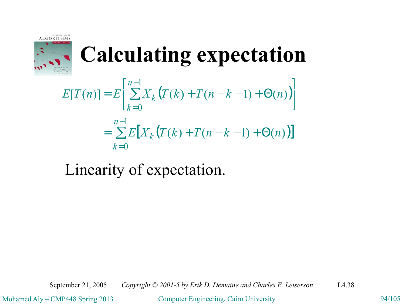

$$
E[T(n)] = E\left[\sum_{k=0}^{n-1} X_k (T(k) + T(n - k - 1) + \Theta(n))\right]
$$
  
= 
$$
\sum_{k=0}^{n-1} E[X_k (T(k) + T(n - k - 1) + \Theta(n))]
$$

### Linearity of expectation.

September 21, 2005 *Copyright © 2001-5 by Erik D. Demaine and Charles E. Leiserson* L4.38

Mohamed Aly – CMP448 Spring 2013 Computer Engineering, Cairo University 94/105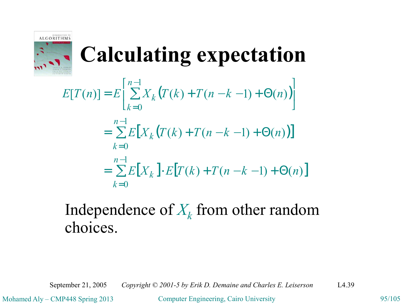

$$
E[T(n)] = E\left[\sum_{k=0}^{n-1} X_k (T(k) + T(n - k - 1) + \Theta(n))\right]
$$
  
= 
$$
\sum_{k=0}^{n-1} E[X_k (T(k) + T(n - k - 1) + \Theta(n))]
$$
  
= 
$$
\sum_{k=0}^{n-1} E[X_k] \cdot E[T(k) + T(n - k - 1) + \Theta(n)]
$$

#### Independence of  $X_k$  from other random choices.

September 21, 2005 *Copyright © 2001-5 by Erik D. Demaine and Charles E. Leiserson* L4.39

Mohamed Aly – CMP448 Spring 2013 Computer Engineering, Cairo University 95/105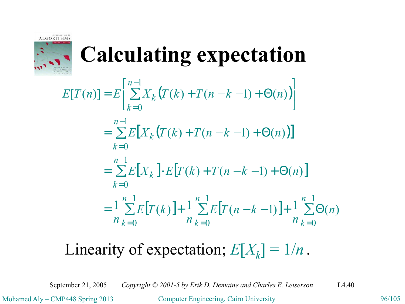

$$
E[T(n)] = E\left[\sum_{k=0}^{n-1} X_k (T(k) + T(n - k - 1) + \Theta(n))\right]
$$
  
=  $\sum_{k=0}^{n-1} E[X_k (T(k) + T(n - k - 1) + \Theta(n))]$   
=  $\sum_{k=0}^{n-1} E[X_k] \cdot E[T(k) + T(n - k - 1) + \Theta(n)]$   
=  $\frac{1}{n} \sum_{k=0}^{n-1} E[T(k)] + \frac{1}{n} \sum_{k=0}^{n-1} E[T(n - k - 1)] + \frac{1}{n} \sum_{k=0}^{n-1} \Theta(n)$ 

### Linearity of expectation;  $E[X_k] = 1/n$ .

September 21, 2005 *Copyright © 2001-5 by Erik D. Demaine and Charles E. Leiserson* L4.40

Mohamed Aly – CMP448 Spring 2013 Computer Engineering, Cairo University 96/105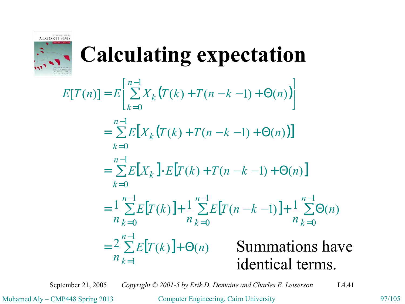

$$
E[T(n)] = E\left[\sum_{k=0}^{n-1} X_k (T(k) + T(n - k - 1) + \Theta(n))\right]
$$
  
\n
$$
= \sum_{k=0}^{n-1} E[X_k (T(k) + T(n - k - 1) + \Theta(n))]
$$
  
\n
$$
= \sum_{k=0}^{n-1} E[X_k] \cdot E[T(k) + T(n - k - 1) + \Theta(n)]
$$
  
\n
$$
= \frac{1}{n} \sum_{k=0}^{n-1} E[T(k)] + \frac{1}{n} \sum_{k=0}^{n-1} E[T(n - k - 1)] + \frac{1}{n} \sum_{k=0}^{n-1} \Theta(n)
$$
  
\n
$$
= \frac{2}{n} \sum_{k=1}^{n-1} E[T(k)] + \Theta(n)
$$
Summations have identical terms.

September 21, 2005 *Copyright © 2001-5 by Erik D. Demaine and Charles E. Leiserson* L4.41

Mohamed Aly – CMP448 Spring 2013 Computer Engineering, Cairo University 97/105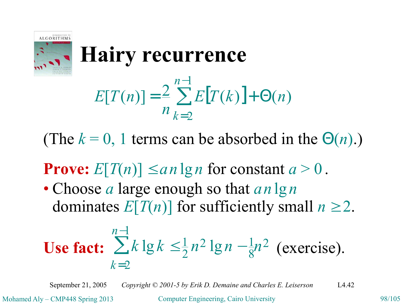

## **Hairy recurrence**

$$
E[T(n)] = \frac{2}{n} \sum_{k=2}^{n-1} E[T(k)] + \Theta(n)
$$

(The  $k = 0$ , 1 terms can be absorbed in the  $\Theta(n)$ .)

- **Prove:**  $E[T(n)] \leq a n \lg n$  for constant  $a > 0$ .
- Choose *a* large enough so that *an* lg *n* dominates  $E[T(n)]$  for sufficiently small  $n \geq 2$ .

Use fact: 
$$
\sum_{k=2}^{n-1} k \lg k \leq \frac{1}{2} n^2 \lg n - \frac{1}{8} n^2
$$
 (exercise).

September 21, 2005 *Copyright © 2001-5 by Erik D. Demaine and Charles E. Leiserson* L4.42

Mohamed Aly – CMP448 Spring 2013 Computer Engineering, Cairo University 98/105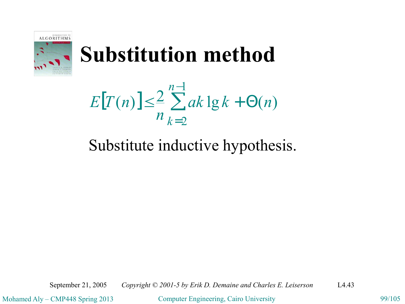

 $[T(n)] \leq \sum_{k=1}^{n-1} ak \lg k + \Theta(n)$  $\overline{1}$ 2  $ak \lg k + \Theta(n)$ *n*  $E[T(n$ *n k*  $\leq \frac{2}{n} \sum a k \lg k + \Theta$  $\overline{-1}$ =

### Substitute inductive hypothesis.

September 21, 2005 *Copyright © 2001-5 by Erik D. Demaine and Charles E. Leiserson* L4.43

Mohamed Aly – CMP448 Spring 2013 Computer Engineering, Cairo University 99/105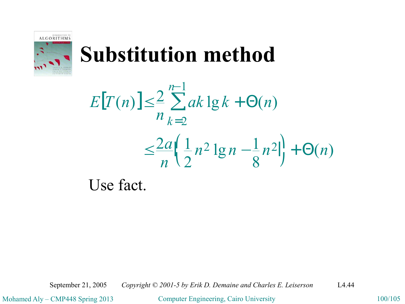

 $[T(n)] \leq \sum_{k=1}^{n-1} ak \lg k + \Theta(n)$  $(n)$ 8  $lg n - \frac{1}{2}$ 2  $\frac{2a}{\pi} \left( \frac{1}{n^2} n^2 \lg n - \frac{1}{2} n^2 \right]_1^1 + \Theta(n)$ 1 2 *n a*  $E[T(n)] \leq \sum_{k} ak \lg k + \Theta(n)$ *n n*  $k =$  $\mathcal{C}$  +  $\Theta$ ⎠  $\mathcal{L}$ ⎜  $\overline{\mathcal{N}}$  $\leq \frac{2a}{a} \left( \frac{1}{2} n^2 \lg n - \right)$  $\leq \frac{2}{n} \sum a k \lg k + \Theta$ —<br>—

Use fact.

September 21, 2005 *Copyright © 2001-5 by Erik D. Demaine and Charles E. Leiserson* L4.44

Mohamed Aly – CMP448 Spring 2013 Computer Engineering, Cairo University 100/105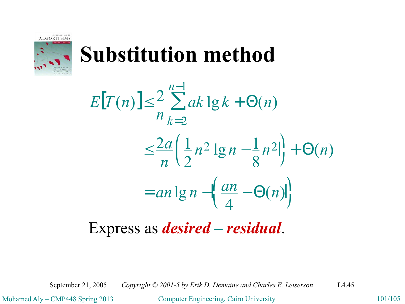

$$
E[T(n)] \leq \frac{2}{n} \sum_{k=2}^{n-1} ak \lg k + \Theta(n)
$$
  

$$
\leq \frac{2a}{n} \left( \frac{1}{2} n^2 \lg n - \frac{1}{8} n^2 \lg n \right) + \Theta(n)
$$
  

$$
= an \lg n - \left( \frac{an}{4} - \Theta(n) \lg n \right)
$$

Express as *desired – residual*.

September 21, 2005 *Copyright © 2001-5 by Erik D. Demaine and Charles E. Leiserson* L4.45

Mohamed Aly – CMP448 Spring 2013 Computer Engineering, Cairo University 101/105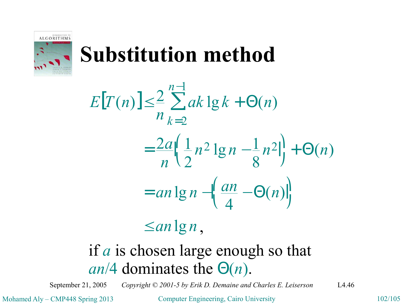

$$
E[T(n)] \leq \frac{2}{n} \sum_{k=2}^{n-1} ak \lg k + \Theta(n)
$$
  
= 
$$
\frac{2a}{n} \left( \frac{1}{2} n^2 \lg n - \frac{1}{8} n^2 \right) + \Theta(n)
$$
  
= 
$$
an \lg n - \left( \frac{an}{4} - \Theta(n) \right)
$$

 $\leq$ anlgn,

### if *a* is chosen large enough so that *an*/4 dominates the Θ(*n*).

September 21, 2005 *Copyright © 2001-5 by Erik D. Demaine and Charles E. Leiserson* L4.46

Mohamed Aly – CMP448 Spring 2013 Computer Engineering, Cairo University 102/105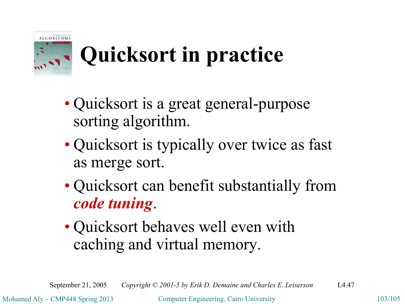

# **Quicksort in practice**

- Quicksort is a great general-purpose sorting algorithm.
- Quicksort is typically over twice as fast as merge sort.
- Quicksort can benefit substantially from *code tuning*.
- Quicksort behaves well even with caching and virtual memory.

September 21, 2005 *Copyright © 2001-5 by Erik D. Demaine and Charles E. Leiserson* L4.47

Mohamed Aly – CMP448 Spring 2013 Computer Engineering, Cairo University 103/105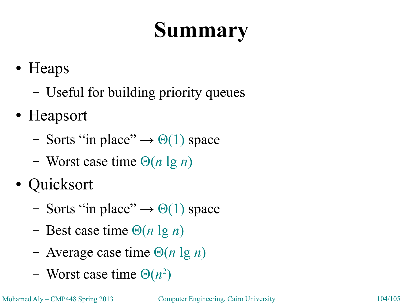# **Summary**

- Heaps
	- Useful for building priority queues
- Heapsort
	- Sorts "in place"  $\rightarrow \Theta(1)$  space
	- Worst case time Θ(*n* lg *n*)
- Quicksort
	- Sorts "in place"  $\rightarrow \Theta(1)$  space
	- Best case time Θ(*n* lg *n*)
	- Average case time Θ(*n* lg *n*)
	- $-$  Worst case time  $\Theta(n^2)$